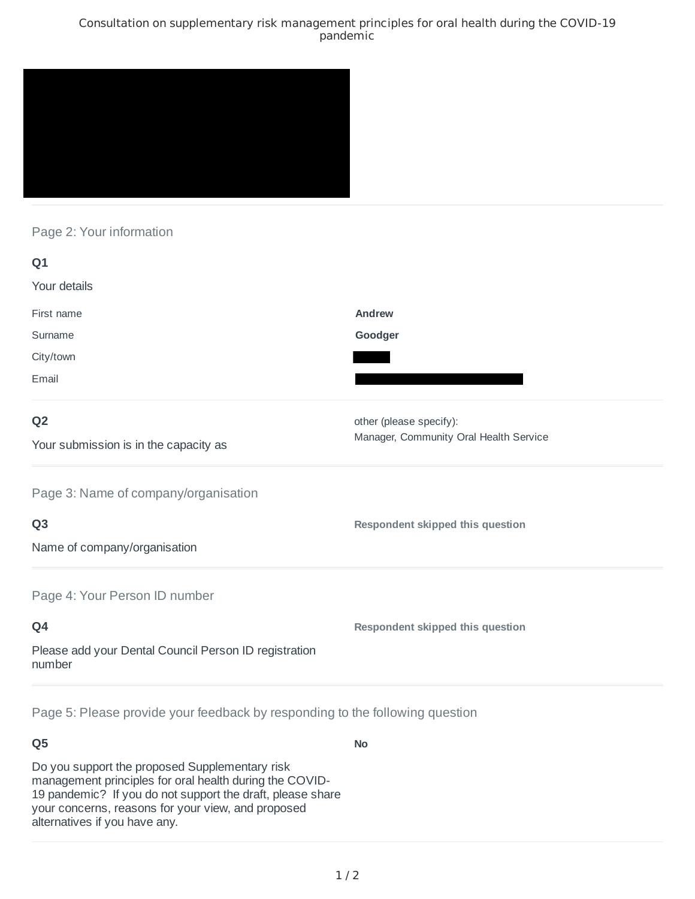#### Consultation on supplementary risk management principles for oral health during the COVID-19 pandemic



### Page 2: Your information

| Q1                                                              |                                         |
|-----------------------------------------------------------------|-----------------------------------------|
| Your details                                                    |                                         |
| First name                                                      | Andrew                                  |
| Surname                                                         | Goodger                                 |
| City/town                                                       |                                         |
| Email                                                           |                                         |
| Q <sub>2</sub>                                                  | other (please specify):                 |
| Your submission is in the capacity as                           | Manager, Community Oral Health Service  |
| Page 3: Name of company/organisation                            |                                         |
| Q <sub>3</sub>                                                  | Respondent skipped this question        |
| Name of company/organisation                                    |                                         |
| Page 4: Your Person ID number                                   |                                         |
| Q4                                                              | <b>Respondent skipped this question</b> |
| Please add your Dental Council Person ID registration<br>number |                                         |
|                                                                 |                                         |

Page 5: Please provide your feedback by responding to the following question

# **Q5**

Do you support the proposed Supplementary risk management principles for oral health during the COVID-19 pandemic? If you do not support the draft, please share your concerns, reasons for your view, and proposed alternatives if you have any.

**No**